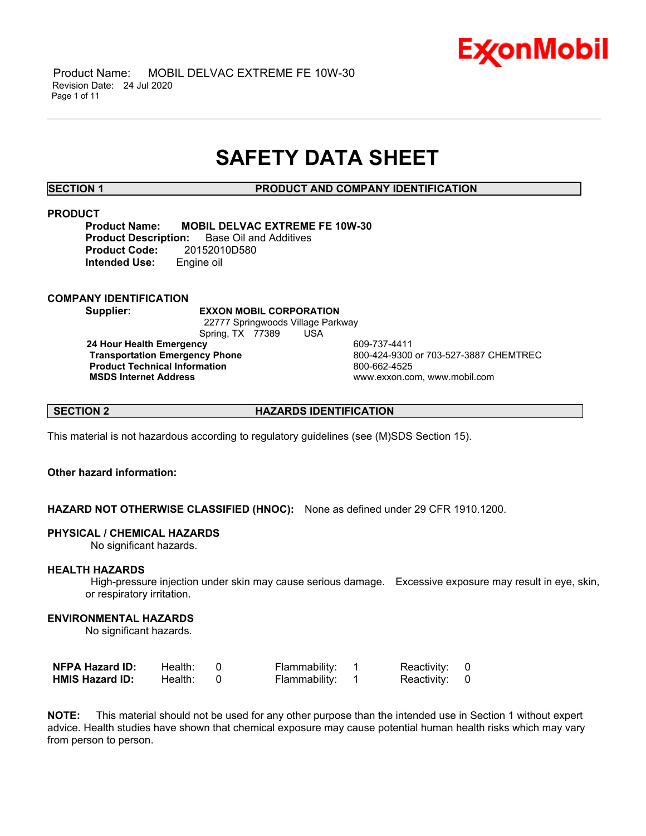

 Product Name: MOBIL DELVAC EXTREME FE 10W-30 Revision Date: 24 Jul 2020 Page 1 of 11

## **SAFETY DATA SHEET**

\_\_\_\_\_\_\_\_\_\_\_\_\_\_\_\_\_\_\_\_\_\_\_\_\_\_\_\_\_\_\_\_\_\_\_\_\_\_\_\_\_\_\_\_\_\_\_\_\_\_\_\_\_\_\_\_\_\_\_\_\_\_\_\_\_\_\_\_\_\_\_\_\_\_\_\_\_\_\_\_\_\_\_\_\_\_\_\_\_\_\_\_\_\_\_\_\_\_\_\_\_\_\_\_\_\_\_\_\_\_\_\_\_\_\_\_\_\_

**SECTION 1 PRODUCT AND COMPANY IDENTIFICATION**

#### **PRODUCT**

**Product Name: MOBIL DELVAC EXTREME FE 10W-30 Product Description:** Base Oil and Additives **Product Code:** 20152010D580 **Intended Use:** Engine oil

**COMPANY IDENTIFICATION**

**Supplier: EXXON MOBIL CORPORATION**

 22777 Springwoods Village Parkway Spring, TX 77389 USA

**24 Hour Health Emergency 609-737-4411<br>Transportation Emergency Phone 609-424-9300 Product Technical Information**<br> **MSDS Internet Address**<br>
MSDS Internet Address

 **Transportation Emergency Phone** 800-424-9300 or 703-527-3887 CHEMTREC  **MSDS Internet Address** www.exxon.com, www.mobil.com

**SECTION 2 HAZARDS IDENTIFICATION**

This material is not hazardous according to regulatory guidelines (see (M)SDS Section 15).

## **Other hazard information:**

**HAZARD NOT OTHERWISE CLASSIFIED (HNOC):** None as defined under 29 CFR 1910.1200.

#### **PHYSICAL / CHEMICAL HAZARDS**

No significant hazards.

#### **HEALTH HAZARDS**

 High-pressure injection under skin may cause serious damage. Excessive exposure may result in eye, skin, or respiratory irritation.

#### **ENVIRONMENTAL HAZARDS**

No significant hazards.

| <b>NFPA Hazard ID:</b> | Health: | Flammability: | Reactivity: 0 |  |
|------------------------|---------|---------------|---------------|--|
| <b>HMIS Hazard ID:</b> | Health: | Flammability: | Reactivity: 0 |  |

**NOTE:** This material should not be used for any other purpose than the intended use in Section 1 without expert advice. Health studies have shown that chemical exposure may cause potential human health risks which may vary from person to person.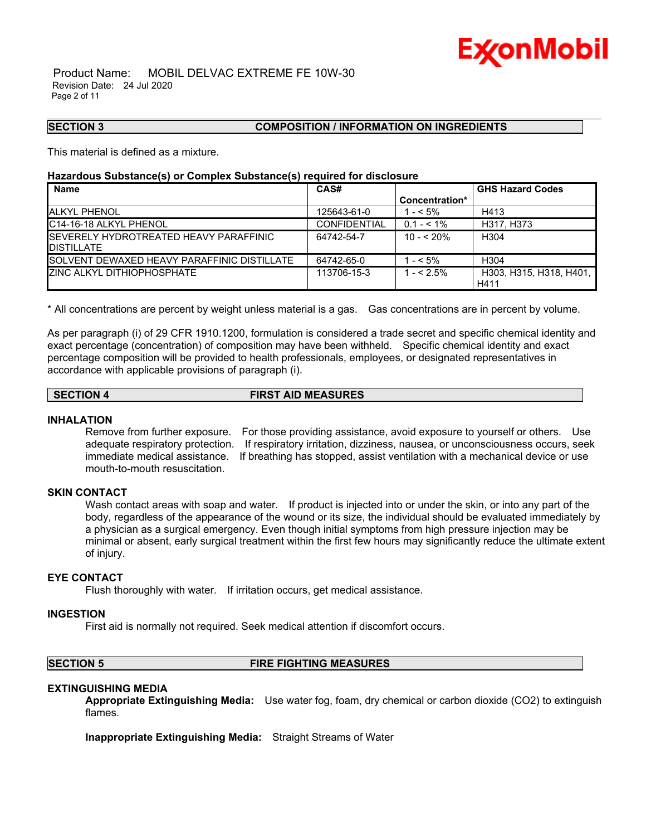# Ex⁄onMobil

 Product Name: MOBIL DELVAC EXTREME FE 10W-30 Revision Date: 24 Jul 2020 Page 2 of 11

#### **SECTION 3 COMPOSITION / INFORMATION ON INGREDIENTS**

This material is defined as a mixture.

#### **Hazardous Substance(s) or Complex Substance(s) required for disclosure**

| CAS#                |                | <b>GHS Hazard Codes</b>         |
|---------------------|----------------|---------------------------------|
|                     | Concentration* |                                 |
| 125643-61-0         | $1 - 5\%$      | H413                            |
| <b>CONFIDENTIAL</b> | $0.1 - 5.1\%$  | H317, H373                      |
| 64742-54-7          | $10 - 520%$    | H <sub>304</sub>                |
|                     |                |                                 |
|                     |                | H <sub>304</sub>                |
| 113706-15-3         | $1 - 52.5%$    | H303, H315, H318, H401,<br>H411 |
|                     | 64742-65-0     | $- < 5\%$                       |

\_\_\_\_\_\_\_\_\_\_\_\_\_\_\_\_\_\_\_\_\_\_\_\_\_\_\_\_\_\_\_\_\_\_\_\_\_\_\_\_\_\_\_\_\_\_\_\_\_\_\_\_\_\_\_\_\_\_\_\_\_\_\_\_\_\_\_\_\_\_\_\_\_\_\_\_\_\_\_\_\_\_\_\_\_\_\_\_\_\_\_\_\_\_\_\_\_\_\_\_\_\_\_\_\_\_\_\_\_\_\_\_\_\_\_\_\_\_

\* All concentrations are percent by weight unless material is a gas. Gas concentrations are in percent by volume.

As per paragraph (i) of 29 CFR 1910.1200, formulation is considered a trade secret and specific chemical identity and exact percentage (concentration) of composition may have been withheld. Specific chemical identity and exact percentage composition will be provided to health professionals, employees, or designated representatives in accordance with applicable provisions of paragraph (i).

### **SECTION 4 FIRST AID MEASURES**

#### **INHALATION**

Remove from further exposure. For those providing assistance, avoid exposure to yourself or others. Use adequate respiratory protection. If respiratory irritation, dizziness, nausea, or unconsciousness occurs, seek immediate medical assistance. If breathing has stopped, assist ventilation with a mechanical device or use mouth-to-mouth resuscitation.

#### **SKIN CONTACT**

Wash contact areas with soap and water. If product is injected into or under the skin, or into any part of the body, regardless of the appearance of the wound or its size, the individual should be evaluated immediately by a physician as a surgical emergency. Even though initial symptoms from high pressure injection may be minimal or absent, early surgical treatment within the first few hours may significantly reduce the ultimate extent of injury.

#### **EYE CONTACT**

Flush thoroughly with water. If irritation occurs, get medical assistance.

#### **INGESTION**

First aid is normally not required. Seek medical attention if discomfort occurs.

#### **SECTION 5 FIRE FIGHTING MEASURES**

#### **EXTINGUISHING MEDIA**

**Appropriate Extinguishing Media:** Use water fog, foam, dry chemical or carbon dioxide (CO2) to extinguish flames.

**Inappropriate Extinguishing Media:** Straight Streams of Water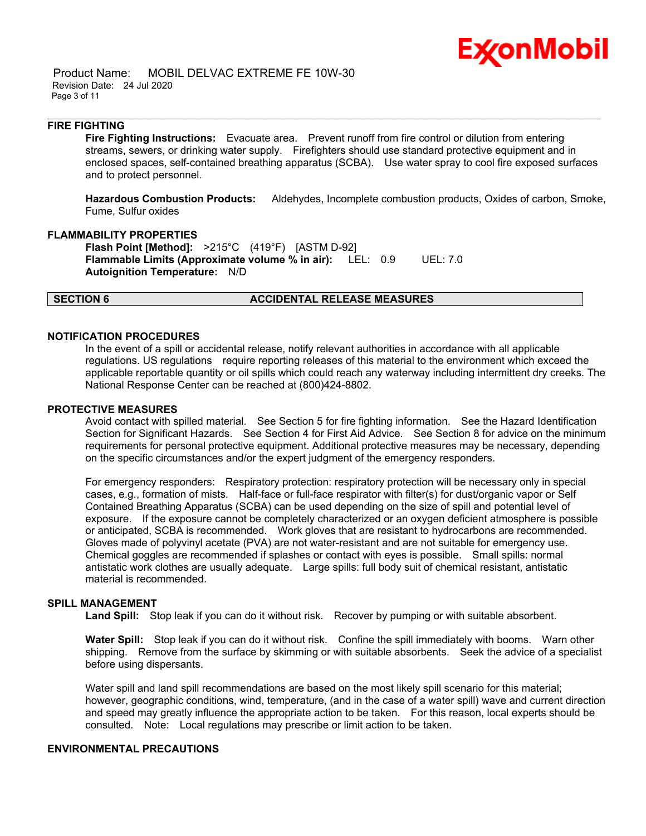

 Product Name: MOBIL DELVAC EXTREME FE 10W-30 Revision Date: 24 Jul 2020 Page 3 of 11

#### **FIRE FIGHTING**

**Fire Fighting Instructions:** Evacuate area. Prevent runoff from fire control or dilution from entering streams, sewers, or drinking water supply. Firefighters should use standard protective equipment and in enclosed spaces, self-contained breathing apparatus (SCBA). Use water spray to cool fire exposed surfaces and to protect personnel.

\_\_\_\_\_\_\_\_\_\_\_\_\_\_\_\_\_\_\_\_\_\_\_\_\_\_\_\_\_\_\_\_\_\_\_\_\_\_\_\_\_\_\_\_\_\_\_\_\_\_\_\_\_\_\_\_\_\_\_\_\_\_\_\_\_\_\_\_\_\_\_\_\_\_\_\_\_\_\_\_\_\_\_\_\_\_\_\_\_\_\_\_\_\_\_\_\_\_\_\_\_\_\_\_\_\_\_\_\_\_\_\_\_\_\_\_\_\_

**Hazardous Combustion Products:** Aldehydes, Incomplete combustion products, Oxides of carbon, Smoke, Fume, Sulfur oxides

#### **FLAMMABILITY PROPERTIES**

**Flash Point [Method]:** >215°C (419°F) [ASTM D-92] **Flammable Limits (Approximate volume % in air):** LEL: 0.9 UEL: 7.0 **Autoignition Temperature:** N/D

#### **SECTION 6 ACCIDENTAL RELEASE MEASURES**

#### **NOTIFICATION PROCEDURES**

In the event of a spill or accidental release, notify relevant authorities in accordance with all applicable regulations. US regulations require reporting releases of this material to the environment which exceed the applicable reportable quantity or oil spills which could reach any waterway including intermittent dry creeks. The National Response Center can be reached at (800)424-8802.

#### **PROTECTIVE MEASURES**

Avoid contact with spilled material. See Section 5 for fire fighting information. See the Hazard Identification Section for Significant Hazards. See Section 4 for First Aid Advice. See Section 8 for advice on the minimum requirements for personal protective equipment. Additional protective measures may be necessary, depending on the specific circumstances and/or the expert judgment of the emergency responders.

For emergency responders: Respiratory protection: respiratory protection will be necessary only in special cases, e.g., formation of mists. Half-face or full-face respirator with filter(s) for dust/organic vapor or Self Contained Breathing Apparatus (SCBA) can be used depending on the size of spill and potential level of exposure. If the exposure cannot be completely characterized or an oxygen deficient atmosphere is possible or anticipated, SCBA is recommended. Work gloves that are resistant to hydrocarbons are recommended. Gloves made of polyvinyl acetate (PVA) are not water-resistant and are not suitable for emergency use. Chemical goggles are recommended if splashes or contact with eyes is possible. Small spills: normal antistatic work clothes are usually adequate. Large spills: full body suit of chemical resistant, antistatic material is recommended.

### **SPILL MANAGEMENT**

Land Spill: Stop leak if you can do it without risk. Recover by pumping or with suitable absorbent.

**Water Spill:** Stop leak if you can do it without risk. Confine the spill immediately with booms. Warn other shipping. Remove from the surface by skimming or with suitable absorbents. Seek the advice of a specialist before using dispersants.

Water spill and land spill recommendations are based on the most likely spill scenario for this material; however, geographic conditions, wind, temperature, (and in the case of a water spill) wave and current direction and speed may greatly influence the appropriate action to be taken. For this reason, local experts should be consulted. Note: Local regulations may prescribe or limit action to be taken.

### **ENVIRONMENTAL PRECAUTIONS**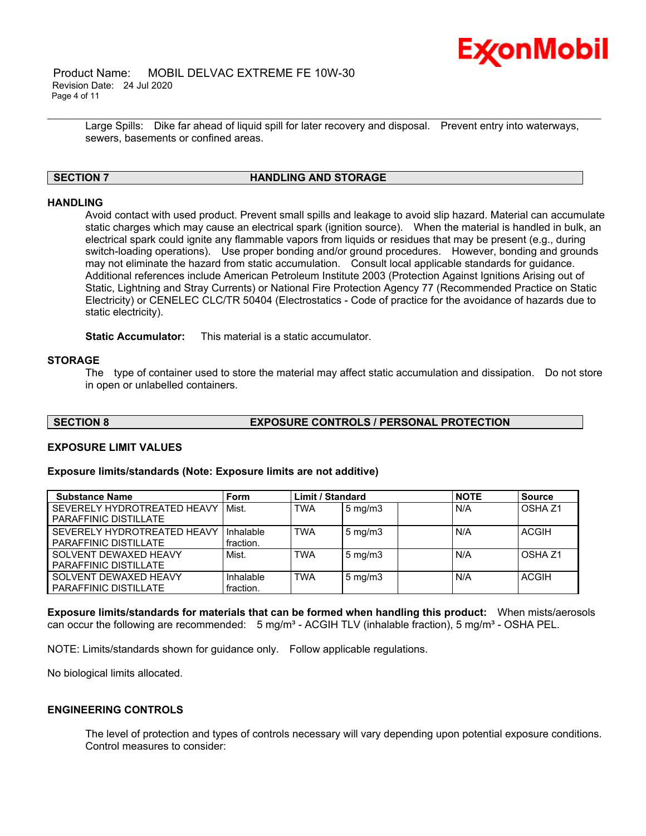

 Product Name: MOBIL DELVAC EXTREME FE 10W-30 Revision Date: 24 Jul 2020 Page 4 of 11

> Large Spills: Dike far ahead of liquid spill for later recovery and disposal. Prevent entry into waterways, sewers, basements or confined areas.

\_\_\_\_\_\_\_\_\_\_\_\_\_\_\_\_\_\_\_\_\_\_\_\_\_\_\_\_\_\_\_\_\_\_\_\_\_\_\_\_\_\_\_\_\_\_\_\_\_\_\_\_\_\_\_\_\_\_\_\_\_\_\_\_\_\_\_\_\_\_\_\_\_\_\_\_\_\_\_\_\_\_\_\_\_\_\_\_\_\_\_\_\_\_\_\_\_\_\_\_\_\_\_\_\_\_\_\_\_\_\_\_\_\_\_\_\_\_

#### **SECTION 7 HANDLING AND STORAGE**

## **HANDLING**

Avoid contact with used product. Prevent small spills and leakage to avoid slip hazard. Material can accumulate static charges which may cause an electrical spark (ignition source). When the material is handled in bulk, an electrical spark could ignite any flammable vapors from liquids or residues that may be present (e.g., during switch-loading operations). Use proper bonding and/or ground procedures. However, bonding and grounds may not eliminate the hazard from static accumulation. Consult local applicable standards for guidance. Additional references include American Petroleum Institute 2003 (Protection Against Ignitions Arising out of Static, Lightning and Stray Currents) or National Fire Protection Agency 77 (Recommended Practice on Static Electricity) or CENELEC CLC/TR 50404 (Electrostatics - Code of practice for the avoidance of hazards due to static electricity).

**Static Accumulator:** This material is a static accumulator.

#### **STORAGE**

The type of container used to store the material may affect static accumulation and dissipation. Do not store in open or unlabelled containers.

## **SECTION 8 EXPOSURE CONTROLS / PERSONAL PROTECTION**

#### **EXPOSURE LIMIT VALUES**

#### **Exposure limits/standards (Note: Exposure limits are not additive)**

| <b>Substance Name</b>                                       | Form                   | <b>Limit / Standard</b> |                  | <b>NOTE</b> | <b>Source</b>      |
|-------------------------------------------------------------|------------------------|-------------------------|------------------|-------------|--------------------|
| SEVERELY HYDROTREATED HEAVY<br><b>PARAFFINIC DISTILLATE</b> | Mist.                  | <b>TWA</b>              | $5 \text{ mg/m}$ | N/A         | OSHA <sub>Z1</sub> |
| SEVERELY HYDROTREATED HEAVY<br><b>PARAFFINIC DISTILLATE</b> | Inhalable<br>fraction. | <b>TWA</b>              | $5 \text{ mg/m}$ | N/A         | <b>ACGIH</b>       |
| SOLVENT DEWAXED HEAVY<br>PARAFFINIC DISTILLATE              | Mist.                  | <b>TWA</b>              | $5 \text{ mg/m}$ | N/A         | OSHA <sub>Z1</sub> |
| SOLVENT DEWAXED HEAVY<br><b>PARAFFINIC DISTILLATE</b>       | Inhalable<br>fraction. | <b>TWA</b>              | $5 \text{ mg/m}$ | N/A         | <b>ACGIH</b>       |

**Exposure limits/standards for materials that can be formed when handling this product:** When mists/aerosols can occur the following are recommended: 5 mg/m<sup>3</sup> - ACGIH TLV (inhalable fraction), 5 mg/m<sup>3</sup> - OSHA PEL.

NOTE: Limits/standards shown for guidance only. Follow applicable regulations.

No biological limits allocated.

### **ENGINEERING CONTROLS**

The level of protection and types of controls necessary will vary depending upon potential exposure conditions. Control measures to consider: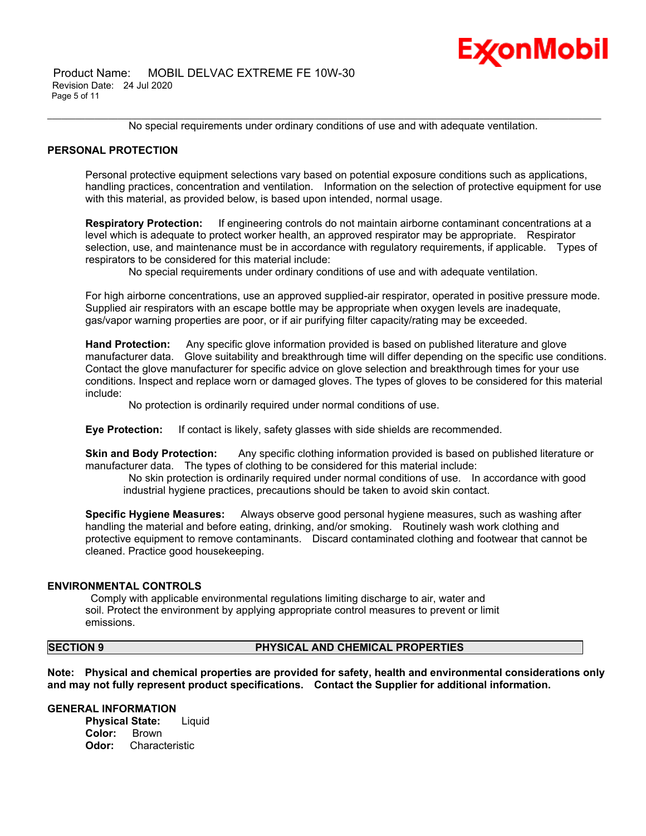## Ex⁄onMobil

 Product Name: MOBIL DELVAC EXTREME FE 10W-30 Revision Date: 24 Jul 2020 Page 5 of 11

\_\_\_\_\_\_\_\_\_\_\_\_\_\_\_\_\_\_\_\_\_\_\_\_\_\_\_\_\_\_\_\_\_\_\_\_\_\_\_\_\_\_\_\_\_\_\_\_\_\_\_\_\_\_\_\_\_\_\_\_\_\_\_\_\_\_\_\_\_\_\_\_\_\_\_\_\_\_\_\_\_\_\_\_\_\_\_\_\_\_\_\_\_\_\_\_\_\_\_\_\_\_\_\_\_\_\_\_\_\_\_\_\_\_\_\_\_\_ No special requirements under ordinary conditions of use and with adequate ventilation.

#### **PERSONAL PROTECTION**

Personal protective equipment selections vary based on potential exposure conditions such as applications, handling practices, concentration and ventilation. Information on the selection of protective equipment for use with this material, as provided below, is based upon intended, normal usage.

**Respiratory Protection:** If engineering controls do not maintain airborne contaminant concentrations at a level which is adequate to protect worker health, an approved respirator may be appropriate. Respirator selection, use, and maintenance must be in accordance with regulatory requirements, if applicable. Types of respirators to be considered for this material include:

No special requirements under ordinary conditions of use and with adequate ventilation.

For high airborne concentrations, use an approved supplied-air respirator, operated in positive pressure mode. Supplied air respirators with an escape bottle may be appropriate when oxygen levels are inadequate, gas/vapor warning properties are poor, or if air purifying filter capacity/rating may be exceeded.

**Hand Protection:** Any specific glove information provided is based on published literature and glove manufacturer data. Glove suitability and breakthrough time will differ depending on the specific use conditions. Contact the glove manufacturer for specific advice on glove selection and breakthrough times for your use conditions. Inspect and replace worn or damaged gloves. The types of gloves to be considered for this material include:

No protection is ordinarily required under normal conditions of use.

**Eye Protection:** If contact is likely, safety glasses with side shields are recommended.

**Skin and Body Protection:** Any specific clothing information provided is based on published literature or manufacturer data. The types of clothing to be considered for this material include:

 No skin protection is ordinarily required under normal conditions of use. In accordance with good industrial hygiene practices, precautions should be taken to avoid skin contact.

**Specific Hygiene Measures:** Always observe good personal hygiene measures, such as washing after handling the material and before eating, drinking, and/or smoking. Routinely wash work clothing and protective equipment to remove contaminants. Discard contaminated clothing and footwear that cannot be cleaned. Practice good housekeeping.

#### **ENVIRONMENTAL CONTROLS**

 Comply with applicable environmental regulations limiting discharge to air, water and soil. Protect the environment by applying appropriate control measures to prevent or limit emissions.

#### **SECTION 9 PHYSICAL AND CHEMICAL PROPERTIES**

**Note: Physical and chemical properties are provided for safety, health and environmental considerations only and may not fully represent product specifications. Contact the Supplier for additional information.**

#### **GENERAL INFORMATION**

**Physical State:** Liquid **Color:** Brown **Odor:** Characteristic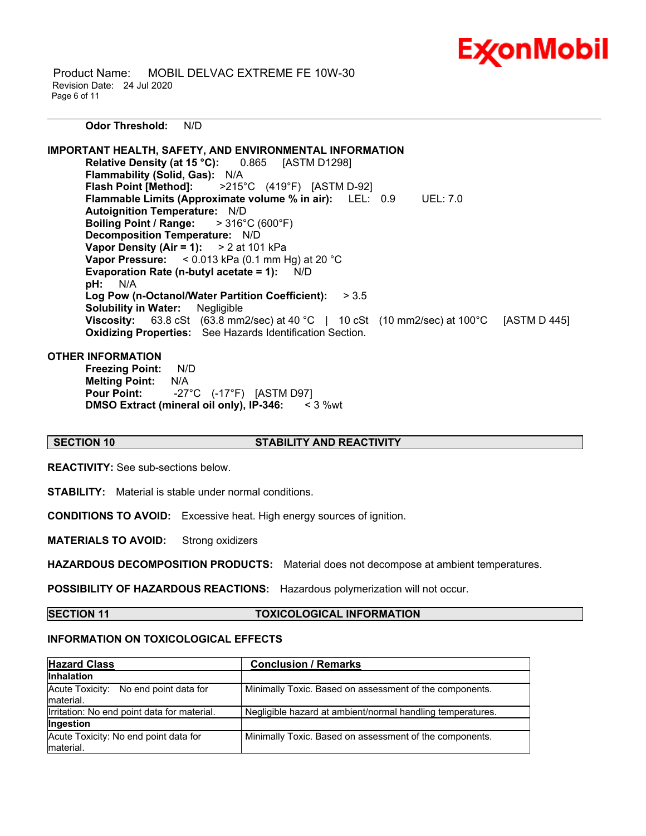

 Product Name: MOBIL DELVAC EXTREME FE 10W-30 Revision Date: 24 Jul 2020 Page 6 of 11

\_\_\_\_\_\_\_\_\_\_\_\_\_\_\_\_\_\_\_\_\_\_\_\_\_\_\_\_\_\_\_\_\_\_\_\_\_\_\_\_\_\_\_\_\_\_\_\_\_\_\_\_\_\_\_\_\_\_\_\_\_\_\_\_\_\_\_\_\_\_\_\_\_\_\_\_\_\_\_\_\_\_\_\_\_\_\_\_\_\_\_\_\_\_\_\_\_\_\_\_\_\_\_\_\_\_\_\_\_\_\_\_\_\_\_\_\_\_ **Odor Threshold:** N/D

**IMPORTANT HEALTH, SAFETY, AND ENVIRONMENTAL INFORMATION Relative Density (at 15 °C):** 0.865 [ASTM D1298] **Flammability (Solid, Gas):** N/A **Flash Point [Method]:** >215°C (419°F) [ASTM D-92] **Flammable Limits (Approximate volume % in air):** LEL: 0.9 UEL: 7.0 **Autoignition Temperature:** N/D **Boiling Point / Range:** > 316°C (600°F) **Decomposition Temperature:** N/D **Vapor Density (Air = 1):** > 2 at 101 kPa **Vapor Pressure:** < 0.013 kPa (0.1 mm Hg) at 20 °C **Evaporation Rate (n-butyl acetate = 1):** N/D **pH:** N/A **Log Pow (n-Octanol/Water Partition Coefficient):** > 3.5 **Solubility in Water:** Negligible **Viscosity:** 63.8 cSt (63.8 mm2/sec) at 40 °C | 10 cSt (10 mm2/sec) at 100°C [ASTM D 445] **Oxidizing Properties:** See Hazards Identification Section.

### **OTHER INFORMATION**

**Freezing Point:** N/D **Melting Point:** N/A **Pour Point:** -27°C (-17°F) [ASTM D97] **DMSO Extract (mineral oil only), IP-346:** < 3 %wt

#### **SECTION 10 STABILITY AND REACTIVITY**

**REACTIVITY:** See sub-sections below.

**STABILITY:** Material is stable under normal conditions.

**CONDITIONS TO AVOID:** Excessive heat. High energy sources of ignition.

**MATERIALS TO AVOID:** Strong oxidizers

**HAZARDOUS DECOMPOSITION PRODUCTS:** Material does not decompose at ambient temperatures.

**POSSIBILITY OF HAZARDOUS REACTIONS:** Hazardous polymerization will not occur.

**SECTION 11 TOXICOLOGICAL INFORMATION**

## **INFORMATION ON TOXICOLOGICAL EFFECTS**

| <b>Hazard Class</b>                                 | <b>Conclusion / Remarks</b>                                |  |  |
|-----------------------------------------------------|------------------------------------------------------------|--|--|
| <b>Inhalation</b>                                   |                                                            |  |  |
| Acute Toxicity: No end point data for<br>material.  | Minimally Toxic. Based on assessment of the components.    |  |  |
| Irritation: No end point data for material.         | Negligible hazard at ambient/normal handling temperatures. |  |  |
| <b>Ingestion</b>                                    |                                                            |  |  |
| Acute Toxicity: No end point data for<br>Imaterial. | Minimally Toxic. Based on assessment of the components.    |  |  |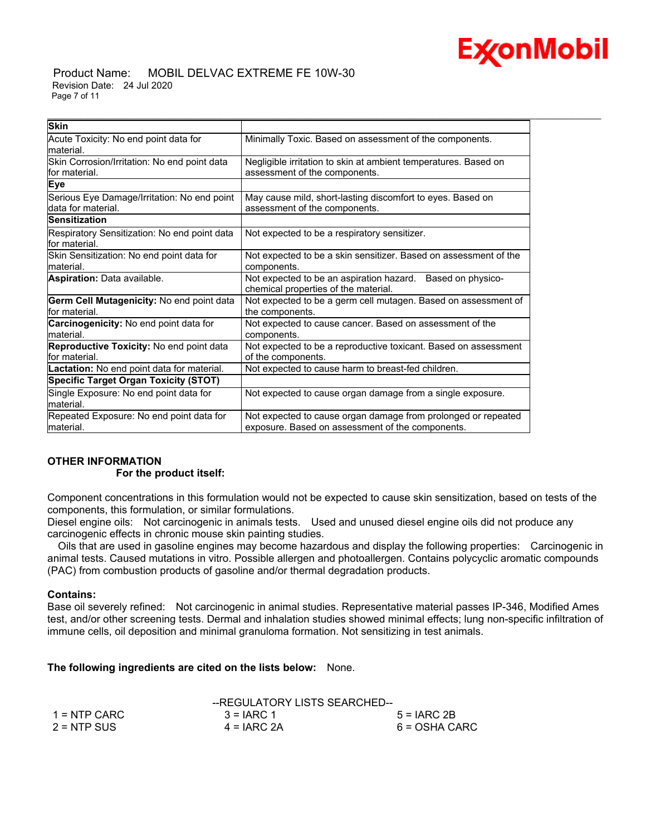

#### Product Name: MOBIL DELVAC EXTREME FE 10W-30 Revision Date: 24 Jul 2020 Page 7 of 11

| <b>Skin</b>                                                       |                                                                                                                   |
|-------------------------------------------------------------------|-------------------------------------------------------------------------------------------------------------------|
| Acute Toxicity: No end point data for<br>lmaterial.               | Minimally Toxic. Based on assessment of the components.                                                           |
| Skin Corrosion/Irritation: No end point data<br>lfor material.    | Negligible irritation to skin at ambient temperatures. Based on<br>assessment of the components.                  |
| Eye                                                               |                                                                                                                   |
| Serious Eye Damage/Irritation: No end point<br>data for material. | May cause mild, short-lasting discomfort to eyes. Based on<br>assessment of the components.                       |
| <b>Sensitization</b>                                              |                                                                                                                   |
| Respiratory Sensitization: No end point data<br>for material.     | Not expected to be a respiratory sensitizer.                                                                      |
| Skin Sensitization: No end point data for<br>lmaterial.           | Not expected to be a skin sensitizer. Based on assessment of the<br>components.                                   |
| Aspiration: Data available.                                       | Not expected to be an aspiration hazard. Based on physico-<br>chemical properties of the material.                |
| Germ Cell Mutagenicity: No end point data<br>lfor material.       | Not expected to be a germ cell mutagen. Based on assessment of<br>the components.                                 |
| <b>Carcinogenicity:</b> No end point data for<br>lmaterial.       | Not expected to cause cancer. Based on assessment of the<br>components.                                           |
| Reproductive Toxicity: No end point data<br>lfor material.        | Not expected to be a reproductive toxicant. Based on assessment<br>of the components.                             |
| Lactation: No end point data for material.                        | Not expected to cause harm to breast-fed children.                                                                |
| <b>Specific Target Organ Toxicity (STOT)</b>                      |                                                                                                                   |
| Single Exposure: No end point data for<br>lmaterial.              | Not expected to cause organ damage from a single exposure.                                                        |
| Repeated Exposure: No end point data for<br>lmaterial.            | Not expected to cause organ damage from prolonged or repeated<br>exposure. Based on assessment of the components. |

#### **OTHER INFORMATION For the product itself:**

Component concentrations in this formulation would not be expected to cause skin sensitization, based on tests of the components, this formulation, or similar formulations.

Diesel engine oils: Not carcinogenic in animals tests. Used and unused diesel engine oils did not produce any carcinogenic effects in chronic mouse skin painting studies.

 Oils that are used in gasoline engines may become hazardous and display the following properties: Carcinogenic in animal tests. Caused mutations in vitro. Possible allergen and photoallergen. Contains polycyclic aromatic compounds (PAC) from combustion products of gasoline and/or thermal degradation products.

#### **Contains:**

Base oil severely refined: Not carcinogenic in animal studies. Representative material passes IP-346, Modified Ames test, and/or other screening tests. Dermal and inhalation studies showed minimal effects; lung non-specific infiltration of immune cells, oil deposition and minimal granuloma formation. Not sensitizing in test animals.

**The following ingredients are cited on the lists below:** None.

|               | --REGULATORY LISTS SEARCHED-- |               |
|---------------|-------------------------------|---------------|
| 1 = NTP CARC  | $3 = IARC 1$                  | $5 = IARC2B$  |
| $2 = NTP$ SUS | $4 = IARC 2A$                 | 6 = OSHA CARC |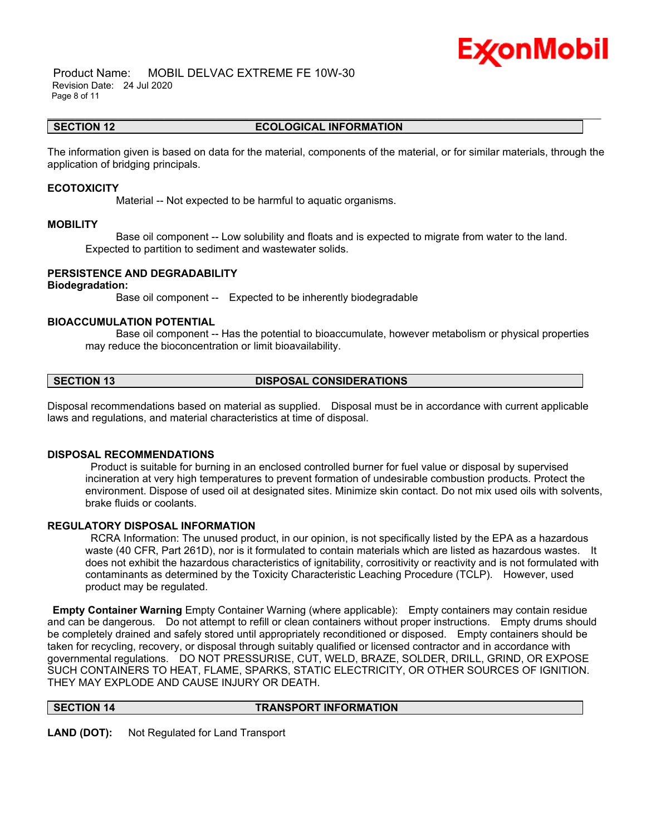## Ex⁄onMobil

 Product Name: MOBIL DELVAC EXTREME FE 10W-30 Revision Date: 24 Jul 2020 Page 8 of 11

#### \_\_\_\_\_\_\_\_\_\_\_\_\_\_\_\_\_\_\_\_\_\_\_\_\_\_\_\_\_\_\_\_\_\_\_\_\_\_\_\_\_\_\_\_\_\_\_\_\_\_\_\_\_\_\_\_\_\_\_\_\_\_\_\_\_\_\_\_\_\_\_\_\_\_\_\_\_\_\_\_\_\_\_\_\_\_\_\_\_\_\_\_\_\_\_\_\_\_\_\_\_\_\_\_\_\_\_\_\_\_\_\_\_\_\_\_\_\_ **SECTION 12 ECOLOGICAL INFORMATION**

The information given is based on data for the material, components of the material, or for similar materials, through the application of bridging principals.

#### **ECOTOXICITY**

Material -- Not expected to be harmful to aquatic organisms.

#### **MOBILITY**

 Base oil component -- Low solubility and floats and is expected to migrate from water to the land. Expected to partition to sediment and wastewater solids.

#### **PERSISTENCE AND DEGRADABILITY**

#### **Biodegradation:**

Base oil component -- Expected to be inherently biodegradable

#### **BIOACCUMULATION POTENTIAL**

 Base oil component -- Has the potential to bioaccumulate, however metabolism or physical properties may reduce the bioconcentration or limit bioavailability.

## **SECTION 13 DISPOSAL CONSIDERATIONS**

Disposal recommendations based on material as supplied. Disposal must be in accordance with current applicable laws and regulations, and material characteristics at time of disposal.

#### **DISPOSAL RECOMMENDATIONS**

 Product is suitable for burning in an enclosed controlled burner for fuel value or disposal by supervised incineration at very high temperatures to prevent formation of undesirable combustion products. Protect the environment. Dispose of used oil at designated sites. Minimize skin contact. Do not mix used oils with solvents, brake fluids or coolants.

#### **REGULATORY DISPOSAL INFORMATION**

 RCRA Information: The unused product, in our opinion, is not specifically listed by the EPA as a hazardous waste (40 CFR, Part 261D), nor is it formulated to contain materials which are listed as hazardous wastes. It does not exhibit the hazardous characteristics of ignitability, corrositivity or reactivity and is not formulated with contaminants as determined by the Toxicity Characteristic Leaching Procedure (TCLP). However, used product may be regulated.

**Empty Container Warning** Empty Container Warning (where applicable): Empty containers may contain residue and can be dangerous. Do not attempt to refill or clean containers without proper instructions. Empty drums should be completely drained and safely stored until appropriately reconditioned or disposed. Empty containers should be taken for recycling, recovery, or disposal through suitably qualified or licensed contractor and in accordance with governmental regulations. DO NOT PRESSURISE, CUT, WELD, BRAZE, SOLDER, DRILL, GRIND, OR EXPOSE SUCH CONTAINERS TO HEAT, FLAME, SPARKS, STATIC ELECTRICITY, OR OTHER SOURCES OF IGNITION. THEY MAY EXPLODE AND CAUSE INJURY OR DEATH.

#### **SECTION 14 TRANSPORT INFORMATION**

**LAND (DOT):** Not Regulated for Land Transport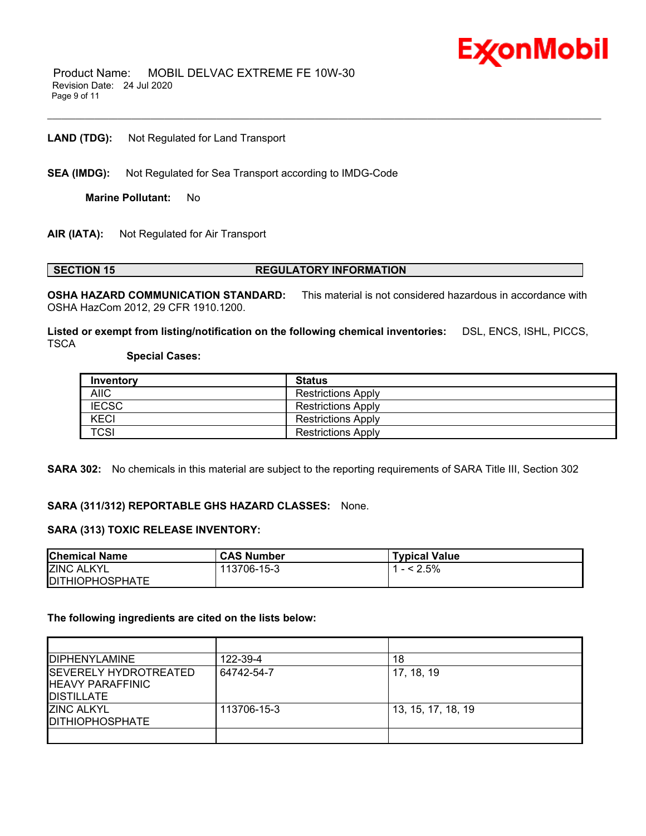

 Product Name: MOBIL DELVAC EXTREME FE 10W-30 Revision Date: 24 Jul 2020 Page 9 of 11

**LAND (TDG):** Not Regulated for Land Transport

**SEA (IMDG):** Not Regulated for Sea Transport according to IMDG-Code

**Marine Pollutant:** No

**AIR (IATA):** Not Regulated for Air Transport

#### **SECTION 15 REGULATORY INFORMATION**

**OSHA HAZARD COMMUNICATION STANDARD:** This material is not considered hazardous in accordance with OSHA HazCom 2012, 29 CFR 1910.1200.

\_\_\_\_\_\_\_\_\_\_\_\_\_\_\_\_\_\_\_\_\_\_\_\_\_\_\_\_\_\_\_\_\_\_\_\_\_\_\_\_\_\_\_\_\_\_\_\_\_\_\_\_\_\_\_\_\_\_\_\_\_\_\_\_\_\_\_\_\_\_\_\_\_\_\_\_\_\_\_\_\_\_\_\_\_\_\_\_\_\_\_\_\_\_\_\_\_\_\_\_\_\_\_\_\_\_\_\_\_\_\_\_\_\_\_\_\_\_

**Listed or exempt from listing/notification on the following chemical inventories:** DSL, ENCS, ISHL, PICCS, **TSCA** 

#### **Special Cases:**

| Inventory    | <b>Status</b>             |
|--------------|---------------------------|
| <b>AIIC</b>  | <b>Restrictions Apply</b> |
| <b>IECSC</b> | <b>Restrictions Apply</b> |
| <b>KECI</b>  | <b>Restrictions Apply</b> |
| <b>TCSI</b>  | <b>Restrictions Apply</b> |

**SARA 302:** No chemicals in this material are subject to the reporting requirements of SARA Title III, Section 302

#### **SARA (311/312) REPORTABLE GHS HAZARD CLASSES:** None.

#### **SARA (313) TOXIC RELEASE INVENTORY:**

| <b>Chemical Name</b>    | <b>CAS Number</b> | <b>Typical Value</b> |
|-------------------------|-------------------|----------------------|
| <b>ZINC ALKYL</b>       | 113706-15-3       | $- < 2.5\%$          |
| <b>IDITHIOPHOSPHATE</b> |                   |                      |

#### **The following ingredients are cited on the lists below:**

| <b>IDIPHENYLAMINE</b>                                                           | 122-39-4    | 18                 |
|---------------------------------------------------------------------------------|-------------|--------------------|
| <b>ISEVERELY HYDROTREATED</b><br><b>IHEAVY PARAFFINIC</b><br><b>IDISTILLATE</b> | 64742-54-7  | 17, 18, 19         |
| <b>ZINC ALKYL</b><br><b>IDITHIOPHOSPHATE</b>                                    | 113706-15-3 | 13, 15, 17, 18, 19 |
|                                                                                 |             |                    |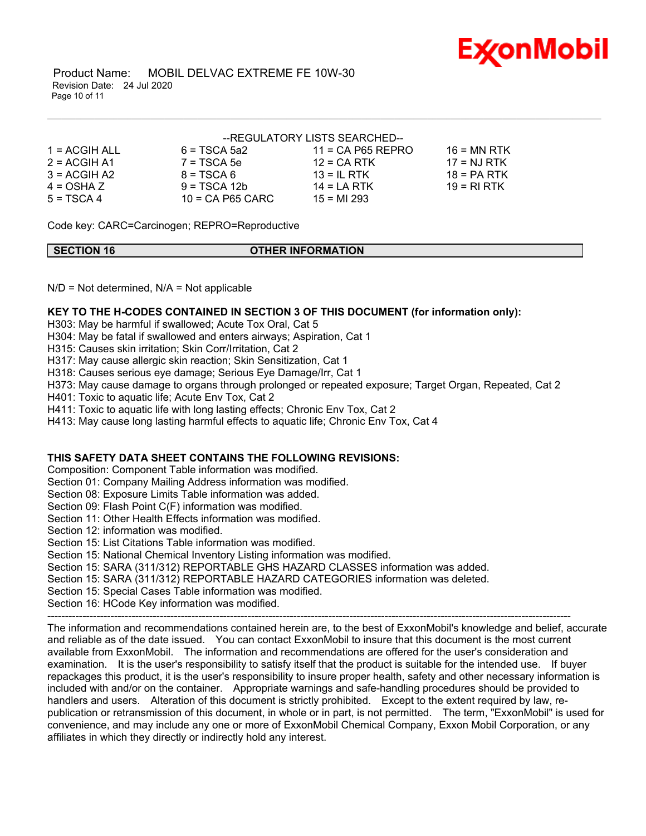

 Product Name: MOBIL DELVAC EXTREME FE 10W-30 Revision Date: 24 Jul 2020 Page 10 of 11

|               |                | --REGULATORY LISTS SEARCHED-- |             |
|---------------|----------------|-------------------------------|-------------|
| 1 = ACGIH ALL | $6 = TSCA 5a2$ | $11 = CA$ P65 REPRO           | 16 = MN RTK |

| $1 - F \cup G \cup H$ | $U = I U U T U U L$ | $11 - 0$ m vulturuv |               |
|-----------------------|---------------------|---------------------|---------------|
| $2 = ACGIH A1$        | 7 = TSCA 5e         | $12$ = CA RTK       | $17 = NJ RTK$ |
| $3 = ACGH A2$         | $8 = TSCA6$         | $13 = IL$ RTK       | 18 = PA RTK   |
| $4 = OSHA Z$          | $9 = TSCA 12b$      | $14 = LA RTK$       | $19 = RIRTK$  |
| $5 = TSCA4$           | $10$ = CA P65 CARC  | $15 = M1 293$       |               |
|                       |                     |                     |               |

Code key: CARC=Carcinogen; REPRO=Reproductive

| <b>SECTION 16</b> | <b>OTHER INFORMATION</b> |
|-------------------|--------------------------|
|                   |                          |

\_\_\_\_\_\_\_\_\_\_\_\_\_\_\_\_\_\_\_\_\_\_\_\_\_\_\_\_\_\_\_\_\_\_\_\_\_\_\_\_\_\_\_\_\_\_\_\_\_\_\_\_\_\_\_\_\_\_\_\_\_\_\_\_\_\_\_\_\_\_\_\_\_\_\_\_\_\_\_\_\_\_\_\_\_\_\_\_\_\_\_\_\_\_\_\_\_\_\_\_\_\_\_\_\_\_\_\_\_\_\_\_\_\_\_\_\_\_

 $N/D$  = Not determined,  $N/A$  = Not applicable

### **KEY TO THE H-CODES CONTAINED IN SECTION 3 OF THIS DOCUMENT (for information only):**

H303: May be harmful if swallowed; Acute Tox Oral, Cat 5

H304: May be fatal if swallowed and enters airways; Aspiration, Cat 1

H315: Causes skin irritation; Skin Corr/Irritation, Cat 2

H317: May cause allergic skin reaction; Skin Sensitization, Cat 1

H318: Causes serious eye damage; Serious Eye Damage/Irr, Cat 1

H373: May cause damage to organs through prolonged or repeated exposure; Target Organ, Repeated, Cat 2

H401: Toxic to aquatic life; Acute Env Tox, Cat 2

H411: Toxic to aquatic life with long lasting effects; Chronic Env Tox, Cat 2

H413: May cause long lasting harmful effects to aquatic life; Chronic Env Tox, Cat 4

## **THIS SAFETY DATA SHEET CONTAINS THE FOLLOWING REVISIONS:**

Composition: Component Table information was modified.

Section 01: Company Mailing Address information was modified.

Section 08: Exposure Limits Table information was added.

Section 09: Flash Point C(F) information was modified.

Section 11: Other Health Effects information was modified.

Section 12: information was modified.

Section 15: List Citations Table information was modified.

Section 15: National Chemical Inventory Listing information was modified.

Section 15: SARA (311/312) REPORTABLE GHS HAZARD CLASSES information was added.

Section 15: SARA (311/312) REPORTABLE HAZARD CATEGORIES information was deleted.

Section 15: Special Cases Table information was modified.

Section 16: HCode Key information was modified.

----------------------------------------------------------------------------------------------------------------------------------------------------- The information and recommendations contained herein are, to the best of ExxonMobil's knowledge and belief, accurate and reliable as of the date issued. You can contact ExxonMobil to insure that this document is the most current available from ExxonMobil. The information and recommendations are offered for the user's consideration and examination. It is the user's responsibility to satisfy itself that the product is suitable for the intended use. If buyer repackages this product, it is the user's responsibility to insure proper health, safety and other necessary information is included with and/or on the container. Appropriate warnings and safe-handling procedures should be provided to handlers and users. Alteration of this document is strictly prohibited. Except to the extent required by law, republication or retransmission of this document, in whole or in part, is not permitted. The term, "ExxonMobil" is used for convenience, and may include any one or more of ExxonMobil Chemical Company, Exxon Mobil Corporation, or any affiliates in which they directly or indirectly hold any interest.